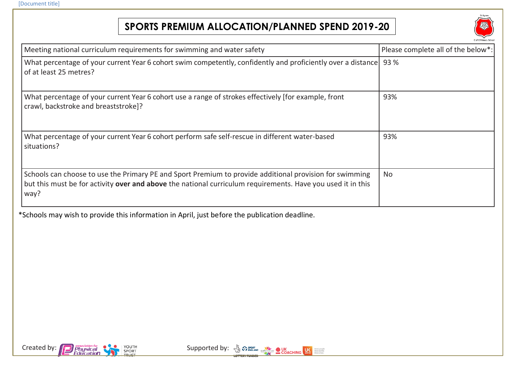## **SPORTS PREMIUM ALLOCATION/PLANNED SPEND 2019-20**



| Meeting national curriculum requirements for swimming and water safety                                                                                                                                                         | Please complete all of the below*: |
|--------------------------------------------------------------------------------------------------------------------------------------------------------------------------------------------------------------------------------|------------------------------------|
| What percentage of your current Year 6 cohort swim competently, confidently and proficiently over a distance<br>of at least 25 metres?                                                                                         | 93 %                               |
| What percentage of your current Year 6 cohort use a range of strokes effectively [for example, front<br>crawl, backstroke and breaststroke]?                                                                                   | 93%                                |
| What percentage of your current Year 6 cohort perform safe self-rescue in different water-based<br>situations?                                                                                                                 | 93%                                |
| Schools can choose to use the Primary PE and Sport Premium to provide additional provision for swimming<br>but this must be for activity over and above the national curriculum requirements. Have you used it in this<br>way? | <b>No</b>                          |

\*Schools may wish to provide this information in April, just before the publication deadline.



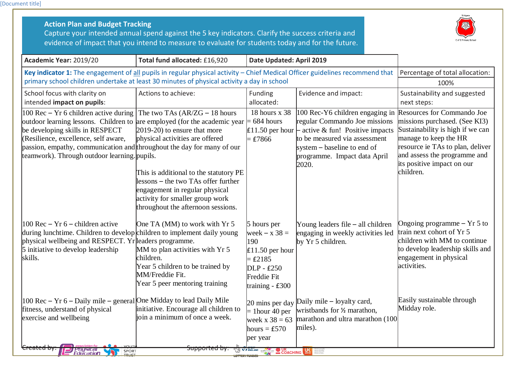[Document title]

| <b>Action Plan and Budget Tracking</b><br>Capture your intended annual spend against the 5 key indicators. Clarify the success criteria and<br>evidence of impact that you intend to measure to evaluate for students today and for the future.                                                                            |                                                                                                                                                                                                                                                                                                |                                                                                                                           |                                                                                                                                                                                                               |                                                                                                                                                                                                                                         |
|----------------------------------------------------------------------------------------------------------------------------------------------------------------------------------------------------------------------------------------------------------------------------------------------------------------------------|------------------------------------------------------------------------------------------------------------------------------------------------------------------------------------------------------------------------------------------------------------------------------------------------|---------------------------------------------------------------------------------------------------------------------------|---------------------------------------------------------------------------------------------------------------------------------------------------------------------------------------------------------------|-----------------------------------------------------------------------------------------------------------------------------------------------------------------------------------------------------------------------------------------|
| Academic Year: 2019/20                                                                                                                                                                                                                                                                                                     | Total fund allocated: £16,920                                                                                                                                                                                                                                                                  | Date Updated: April 2019                                                                                                  |                                                                                                                                                                                                               |                                                                                                                                                                                                                                         |
| Key indicator 1: The engagement of all pupils in regular physical activity - Chief Medical Officer guidelines recommend that<br>primary school children undertake at least 30 minutes of physical activity a day in school                                                                                                 |                                                                                                                                                                                                                                                                                                |                                                                                                                           |                                                                                                                                                                                                               | Percentage of total allocation:<br>100%                                                                                                                                                                                                 |
| School focus with clarity on<br>intended impact on pupils:                                                                                                                                                                                                                                                                 | Actions to achieve:                                                                                                                                                                                                                                                                            | Funding<br>allocated:                                                                                                     | Evidence and impact:                                                                                                                                                                                          | Sustainability and suggested<br>next steps:                                                                                                                                                                                             |
| 100 Rec $-$ Yr 6 children active during<br>outdoor learning lessons. Children to are employed (for the academic year<br>be developing skills in RESPECT<br>(Resilience, excellence, self aware,<br>passion, empathy, communication and throughout the day for many of our<br>teamwork). Through outdoor learning . pupils. | The two TAs $(AR/ZG - 18$ hours<br>2019-20) to ensure that more<br>physical activities are offered<br>This is additional to the statutory PE<br>lessons – the two TAs offer further<br>engagement in regular physical<br>activity for smaller group work<br>throughout the afternoon sessions. | 18 hours x 38<br>$= 684$ hours<br>$£11.50$ per hour<br>$=$ £7866                                                          | 100 Rec-Y6 children engaging in<br>regular Commando Joe missions<br>- active & fun! Positive impacts<br>to be measured via assessment<br>system – baseline to end of<br>programme. Impact data April<br>2020. | Resources for Commando Joe<br>missions purchased. (See KI3)<br>Sustainability is high if we can<br>manage to keep the HR<br>resource ie TAs to plan, deliver<br>and assess the programme and<br>its positive impact on our<br>children. |
| $100$ Rec – Yr 6 – children active<br>during lunchtime. Children to develop children to implement daily young<br>physical wellbeing and RESPECT. Yr leaders programme.<br>5 initiative to develop leadership<br>skills.                                                                                                    | One TA (MM) to work with Yr 5<br>MM to plan activities with Yr 5<br>children.<br>Year 5 children to be trained by<br>MM/Freddie Fit.<br>Year 5 peer mentoring training                                                                                                                         | 5 hours per<br>week $- x 38 =$<br>190<br>$£11.50$ per hour<br>$=$ £2185<br>$DLP - £250$<br>Freddie Fit<br>training - £300 | Young leaders file $-$ all children<br>engaging in weekly activities led<br>by Yr 5 children.                                                                                                                 | Ongoing programme $- Yr 5$ to<br>train next cohort of Yr 5<br>children with MM to continue<br>to develop leadership skills and<br>engagement in physical<br>activities.                                                                 |
| 100 Rec - Yr 6 - Daily mile - general One Midday to lead Daily Mile<br>fitness, understand of physical<br>exercise and wellbeing<br><del>eated b</del><br>PNYSICa<br>SPORT<br>TRUST<br>Education                                                                                                                           | initiative. Encourage all children to<br>join a minimum of once a week.<br><del>Supported by:</del>                                                                                                                                                                                            | $20$ mins per day<br>$=$ 1 hour 40 per<br>week $x 38 = 63$<br>hours = $£570$<br>per year<br>SO TP ENGLAND CSPN            | Daily mile $-$ loyalty card,<br>wristbands for 1/2 marathon,<br>marathon and ultra marathon (100<br>miles).<br>COACHING <b>DE MARINE DE LA COACHING</b>                                                       | Easily sustainable through<br>Midday role.                                                                                                                                                                                              |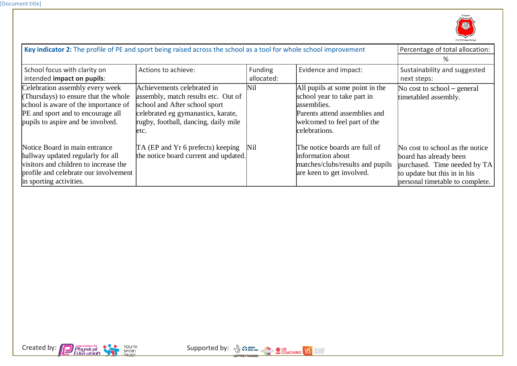

| Key indicator 2: The profile of PE and sport being raised across the school as a tool for whole school improvement                                                                        |                                                                                                                                                                                           |                       |                                                                                                                                                                 | Percentage of total allocation:                                                                                                                              |
|-------------------------------------------------------------------------------------------------------------------------------------------------------------------------------------------|-------------------------------------------------------------------------------------------------------------------------------------------------------------------------------------------|-----------------------|-----------------------------------------------------------------------------------------------------------------------------------------------------------------|--------------------------------------------------------------------------------------------------------------------------------------------------------------|
|                                                                                                                                                                                           |                                                                                                                                                                                           |                       |                                                                                                                                                                 | ℅                                                                                                                                                            |
| School focus with clarity on<br>intended impact on pupils:                                                                                                                                | Actions to achieve:                                                                                                                                                                       | Funding<br>allocated: | Evidence and impact:                                                                                                                                            | Sustainability and suggested<br>next steps:                                                                                                                  |
| Celebration assembly every week<br>(Thursdays) to ensure that the whole<br>school is aware of the importance of<br>PE and sport and to encourage all<br>pupils to aspire and be involved. | Achievements celebrated in<br>assembly, match results etc. Out of<br>school and After school sport<br>celebrated eg gymanastics, karate,<br>rugby, football, dancing, daily mile<br>letc. | Nil                   | All pupils at some point in the<br>school year to take part in<br>assemblies.<br>Parents attend assemblies and<br>welcomed to feel part of the<br>celebrations. | No cost to school – general<br>timetabled assembly.                                                                                                          |
| Notice Board in main entrance<br>hallway updated regularly for all<br>visitors and children to increase the<br>profile and celebrate our involvement<br>in sporting activities.           | TA (EP and Yr 6 prefects) keeping<br>the notice board current and updated.                                                                                                                | Nil                   | The notice boards are full of<br>information about<br>matches/clubs/results and pupils<br>are keen to get involved.                                             | No cost to school as the notice<br>board has already been<br>purchased. Time needed by TA<br>to update but this in in his<br>personal timetable to complete. |



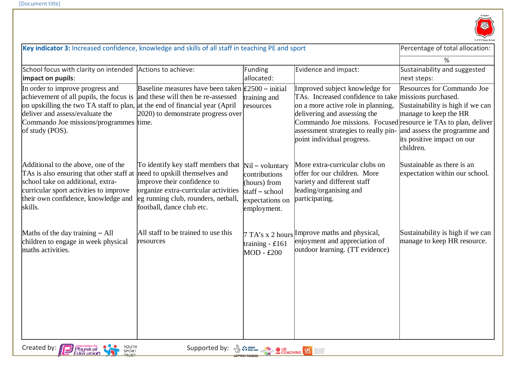

| Key indicator 3: Increased confidence, knowledge and skills of all staff in teaching PE and sport                                                                                                                                                          |                                                                                                                                                                                                                 |                                                                                                          | Percentage of total allocation:                                                                                                                                                                                                                                                                                                     |                                                                                                                                    |
|------------------------------------------------------------------------------------------------------------------------------------------------------------------------------------------------------------------------------------------------------------|-----------------------------------------------------------------------------------------------------------------------------------------------------------------------------------------------------------------|----------------------------------------------------------------------------------------------------------|-------------------------------------------------------------------------------------------------------------------------------------------------------------------------------------------------------------------------------------------------------------------------------------------------------------------------------------|------------------------------------------------------------------------------------------------------------------------------------|
|                                                                                                                                                                                                                                                            |                                                                                                                                                                                                                 |                                                                                                          |                                                                                                                                                                                                                                                                                                                                     | %                                                                                                                                  |
| School focus with clarity on intended<br>impact on pupils:                                                                                                                                                                                                 | Actions to achieve:                                                                                                                                                                                             | Funding<br>allocated:                                                                                    | Evidence and impact:                                                                                                                                                                                                                                                                                                                | Sustainability and suggested<br>next steps:                                                                                        |
| In order to improve progress and<br>achievement of all pupils, the focus is<br>on upskilling the two TA staff to plan, at the end of financial year (April<br>deliver and assess/evaluate the<br>Commando Joe missions/programmes time.<br>of study (POS). | Baseline measures have been taken $\text{\pounds}2500$ – initial<br>and these will then be re-assessed<br>2020) to demonstrate progress over                                                                    | training and<br>resources                                                                                | Improved subject knowledge for<br>TAs. Increased confidence to take missions purchased.<br>on a more active role in planning,<br>delivering and assessing the<br>Commando Joe missions. Focused resource ie TAs to plan, deliver<br>assessment strategies to really pin- and assess the programme and<br>point individual progress. | Resources for Commando Joe<br>Sustainability is high if we can<br>manage to keep the HR<br>its positive impact on our<br>children. |
| Additional to the above, one of the<br>TAs is also ensuring that other staff at<br>school take on additional, extra-<br>curricular sport activities to improve<br>their own confidence, knowledge and<br>skills.                                           | To identify key staff members that<br>need to upskill themselves and<br>improve their confidence to<br>organize extra-curricular activities<br>eg running club, rounders, netball,<br>football, dance club etc. | $Nil - voluntary$<br>contributions<br>(hours) from<br>$statf - school$<br>expectations on<br>employment. | More extra-curricular clubs on<br>offer for our children. More<br>variety and different staff<br>leading/organising and<br>participating.                                                                                                                                                                                           | Sustainable as there is an<br>expectation within our school.                                                                       |
| Maths of the day training $-$ All<br>children to engage in week physical<br>maths activities.                                                                                                                                                              | All staff to be trained to use this<br>resources                                                                                                                                                                | training - £161<br>MOD - £200                                                                            | $7 \text{ T.A's x 2 hours}$ [Improve maths and physical,<br>enjoyment and appreciation of<br>outdoor learning. (TT evidence)                                                                                                                                                                                                        | Sustainability is high if we can<br>manage to keep HR resource.                                                                    |